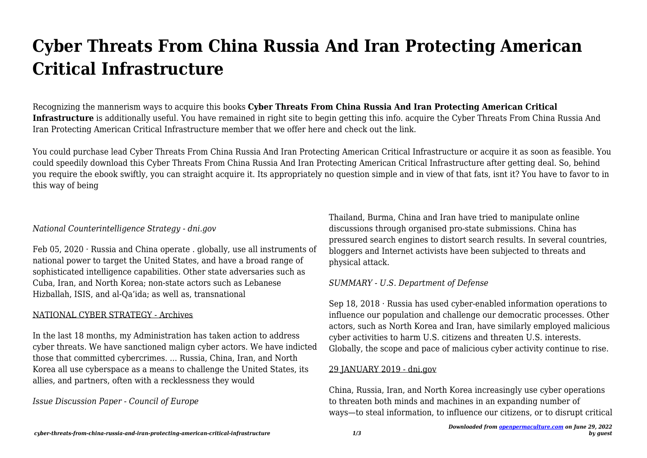# **Cyber Threats From China Russia And Iran Protecting American Critical Infrastructure**

Recognizing the mannerism ways to acquire this books **Cyber Threats From China Russia And Iran Protecting American Critical Infrastructure** is additionally useful. You have remained in right site to begin getting this info. acquire the Cyber Threats From China Russia And Iran Protecting American Critical Infrastructure member that we offer here and check out the link.

You could purchase lead Cyber Threats From China Russia And Iran Protecting American Critical Infrastructure or acquire it as soon as feasible. You could speedily download this Cyber Threats From China Russia And Iran Protecting American Critical Infrastructure after getting deal. So, behind you require the ebook swiftly, you can straight acquire it. Its appropriately no question simple and in view of that fats, isnt it? You have to favor to in this way of being

#### *National Counterintelligence Strategy - dni.gov*

Feb 05, 2020  $\cdot$  Russia and China operate . globally, use all instruments of national power to target the United States, and have a broad range of sophisticated intelligence capabilities. Other state adversaries such as Cuba, Iran, and North Korea; non-state actors such as Lebanese Hizballah, ISIS, and al-Qa'ida; as well as, transnational

## NATIONAL CYBER STRATEGY - Archives

In the last 18 months, my Administration has taken action to address cyber threats. We have sanctioned malign cyber actors. We have indicted those that committed cybercrimes. ... Russia, China, Iran, and North Korea all use cyberspace as a means to challenge the United States, its allies, and partners, often with a recklessness they would

*Issue Discussion Paper - Council of Europe*

Thailand, Burma, China and Iran have tried to manipulate online discussions through organised pro-state submissions. China has pressured search engines to distort search results. In several countries, bloggers and Internet activists have been subjected to threats and physical attack.

## *SUMMARY - U.S. Department of Defense*

Sep 18, 2018  $\cdot$  Russia has used cyber-enabled information operations to influence our population and challenge our democratic processes. Other actors, such as North Korea and Iran, have similarly employed malicious cyber activities to harm U.S. citizens and threaten U.S. interests. Globally, the scope and pace of malicious cyber activity continue to rise.

## 29 JANUARY 2019 - dni.gov

China, Russia, Iran, and North Korea increasingly use cyber operations to threaten both minds and machines in an expanding number of ways—to steal information, to influence our citizens, or to disrupt critical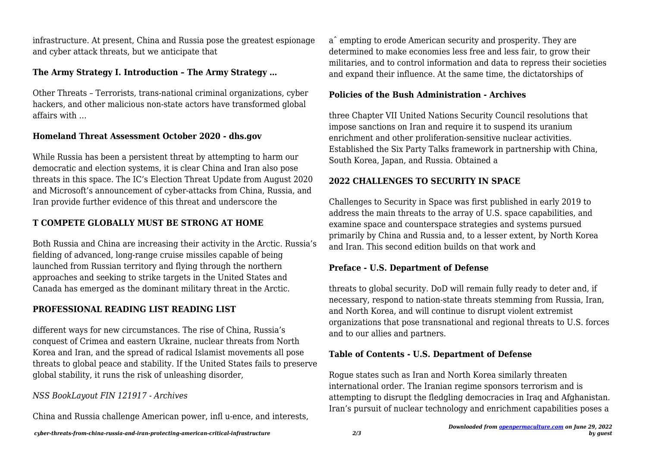infrastructure. At present, China and Russia pose the greatest espionage and cyber attack threats, but we anticipate that

## **The Army Strategy I. Introduction – The Army Strategy …**

Other Threats – Terrorists, trans-national criminal organizations, cyber hackers, and other malicious non-state actors have transformed global affairs with …

# **Homeland Threat Assessment October 2020 - dhs.gov**

While Russia has been a persistent threat by attempting to harm our democratic and election systems, it is clear China and Iran also pose threats in this space. The IC's Election Threat Update from August 2020 and Microsoft's announcement of cyber-attacks from China, Russia, and Iran provide further evidence of this threat and underscore the

# **T COMPETE GLOBALLY MUST BE STRONG AT HOME**

Both Russia and China are increasing their activity in the Arctic. Russia's fielding of advanced, long-range cruise missiles capable of being launched from Russian territory and flying through the northern approaches and seeking to strike targets in the United States and Canada has emerged as the dominant military threat in the Arctic.

# **PROFESSIONAL READING LIST READING LIST**

different ways for new circumstances. The rise of China, Russia's conquest of Crimea and eastern Ukraine, nuclear threats from North Korea and Iran, and the spread of radical Islamist movements all pose threats to global peace and stability. If the United States fails to preserve global stability, it runs the risk of unleashing disorder,

# *NSS BookLayout FIN 121917 - Archives*

China and Russia challenge American power, infl u-ence, and interests,

aˆ empting to erode American security and prosperity. They are determined to make economies less free and less fair, to grow their militaries, and to control information and data to repress their societies and expand their influence. At the same time, the dictatorships of

# **Policies of the Bush Administration - Archives**

three Chapter VII United Nations Security Council resolutions that impose sanctions on Iran and require it to suspend its uranium enrichment and other proliferation-sensitive nuclear activities. Established the Six Party Talks framework in partnership with China, South Korea, Japan, and Russia. Obtained a

# **2022 CHALLENGES TO SECURITY IN SPACE**

Challenges to Security in Space was first published in early 2019 to address the main threats to the array of U.S. space capabilities, and examine space and counterspace strategies and systems pursued primarily by China and Russia and, to a lesser extent, by North Korea and Iran. This second edition builds on that work and

## **Preface - U.S. Department of Defense**

threats to global security. DoD will remain fully ready to deter and, if necessary, respond to nation-state threats stemming from Russia, Iran, and North Korea, and will continue to disrupt violent extremist organizations that pose transnational and regional threats to U.S. forces and to our allies and partners.

# **Table of Contents - U.S. Department of Defense**

Rogue states such as Iran and North Korea similarly threaten international order. The Iranian regime sponsors terrorism and is attempting to disrupt the fledgling democracies in Iraq and Afghanistan. Iran's pursuit of nuclear technology and enrichment capabilities poses a